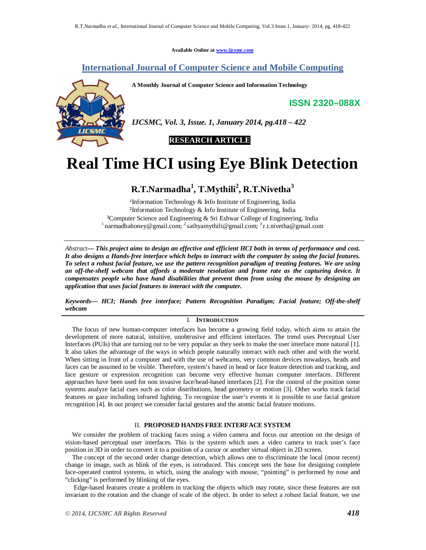**Available Online at www.ijcsmc.com**

# **International Journal of Computer Science and Mobile Computing**

**A Monthly Journal of Computer Science and Information Technology**

**ISSN 2320–088X**



*IJCSMC, Vol. 3, Issue. 1, January 2014, pg.418 – 422*

 **RESEARCH ARTICLE**

# **Real Time HCI using Eye Blink Detection**

# **R.T.Narmadha<sup>1</sup> , T.Mythili<sup>2</sup> , R.T.Nivetha<sup>3</sup>**

<sup>1</sup>Information Technology & Info Institute of Engineering, India ²Information Technology & Info Institute of Engineering, India <sup>3</sup>Computer Science and Engineering & Sri Eshwar College of Engineering, India <sup>1</sup> narmadhahoney@gmail.com; <sup>2</sup> sathyamythili@gmail.com; <sup>3</sup> r.t.nivetha@gmail.com

*Abstract— This project aims to design an effective and efficient HCI both in terms of performance and cost. It also designs a Hands-free interface which helps to interact with the computer by using the facial features. To select a robust facial feature, we use the pattern recognition paradigm of treating features. We are using an off-the-shelf webcam that affords a moderate resolution and frame rate as the capturing device. It compensates people who have hand disabilities that prevent them from using the mouse by designing an application that uses facial features to interact with the computer.*

*Keywords— HCI; Hands free interface; Pattern Recognition Paradigm; Facial feature; Off-the-shelf webcam*

# I. **INTRODUCTION**

The focus of new human-computer interfaces has become a growing field today, which aims to attain the development of more natural, intuitive, unobtrusive and efficient interfaces. The trend uses Perceptual User Interfaces (PUIs) that are turning out to be very popular as they seek to make the user interface more natural [1]. It also takes the advantage of the ways in which people naturally interact with each other and with the world. When sitting in front of a computer and with the use of webcams, very common devices nowadays, heads and faces can be assumed to be visible. Therefore, system's based in head or face feature detection and tracking, and face gesture or expression recognition can become very effective human computer interfaces. Different approaches have been used for non invasive face/head-based interfaces [2]. For the control of the position some systems analyze facial cues such as color distributions, head geometry or motion [3]. Other works track facial features or gaze including infrared lighting. To recognize the user's events it is possible to use facial gesture recognition [4]. In our project we consider facial gestures and the atomic facial feature motions.

# II. **PROPOSED HANDS FREE INTERFACE SYSTEM**

We consider the problem of tracking faces using a video camera and focus our attention on the design of vision-based perceptual user interfaces. This is the system which uses a video camera to track user's face position in 3D in order to convert it to a position of a cursor or another virtual object in 2D screen.

The concept of the second order change detection, which allows one to discriminate the local (most recent) change in image, such as blink of the eyes, is introduced. This concept sets the base for designing complete face-operated control systems, in which, using the analogy with mouse, "pointing" is performed by nose and "clicking" is performed by blinking of the eyes.

Edge-based features create a problem in tracking the objects which may rotate, since these features are not invariant to the rotation and the change of scale of the object. In order to select a robust facial feature, we use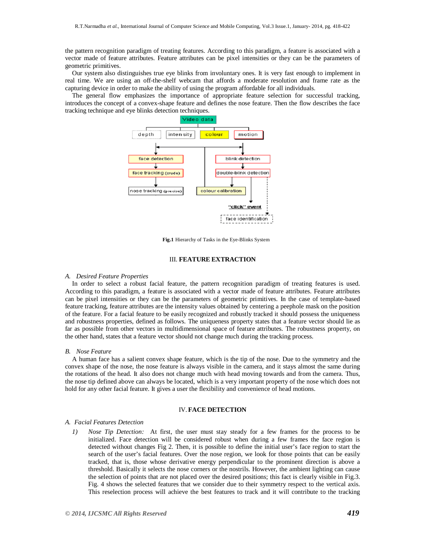the pattern recognition paradigm of treating features. According to this paradigm, a feature is associated with a vector made of feature attributes. Feature attributes can be pixel intensities or they can be the parameters of geometric primitives.

Our system also distinguishes true eye blinks from involuntary ones. It is very fast enough to implement in real time. We are using an off-the-shelf webcam that affords a moderate resolution and frame rate as the capturing device in order to make the ability of using the program affordable for all individuals.

The general flow emphasizes the importance of appropriate feature selection for successful tracking, introduces the concept of a convex-shape feature and defines the nose feature. Then the flow describes the face tracking technique and eye blinks detection techniques.



**Fig.1** Hierarchy of Tasks in the Eye-Blinks System

## III. **FEATURE EXTRACTION**

#### *A. Desired Feature Properties*

In order to select a robust facial feature, the pattern recognition paradigm of treating features is used. According to this paradigm, a feature is associated with a vector made of feature attributes. Feature attributes can be pixel intensities or they can be the parameters of geometric primitives. In the case of template-based feature tracking, feature attributes are the intensity values obtained by centering a peephole mask on the position of the feature. For a facial feature to be easily recognized and robustly tracked it should possess the uniqueness and robustness properties, defined as follows. The uniqueness property states that a feature vector should lie as far as possible from other vectors in multidimensional space of feature attributes. The robustness property, on the other hand, states that a feature vector should not change much during the tracking process.

#### *B. Nose Feature*

A human face has a salient convex shape feature, which is the tip of the nose. Due to the symmetry and the convex shape of the nose, the nose feature is always visible in the camera, and it stays almost the same during the rotations of the head. It also does not change much with head moving towards and from the camera. Thus, the nose tip defined above can always be located, which is a very important property of the nose which does not hold for any other facial feature. It gives a user the flexibility and convenience of head motions.

## IV. **FACE DETECTION**

#### *A. Facial Features Detection*

*1) Nose Tip Detection:* At first, the user must stay steady for a few frames for the process to be initialized. Face detection will be considered robust when during a few frames the face region is detected without changes Fig 2. Then, it is possible to define the initial user's face region to start the search of the user's facial features. Over the nose region, we look for those points that can be easily tracked, that is, those whose derivative energy perpendicular to the prominent direction is above a threshold. Basically it selects the nose corners or the nostrils. However, the ambient lighting can cause the selection of points that are not placed over the desired positions; this fact is clearly visible in Fig.3. Fig. 4 shows the selected features that we consider due to their symmetry respect to the vertical axis. This reselection process will achieve the best features to track and it will contribute to the tracking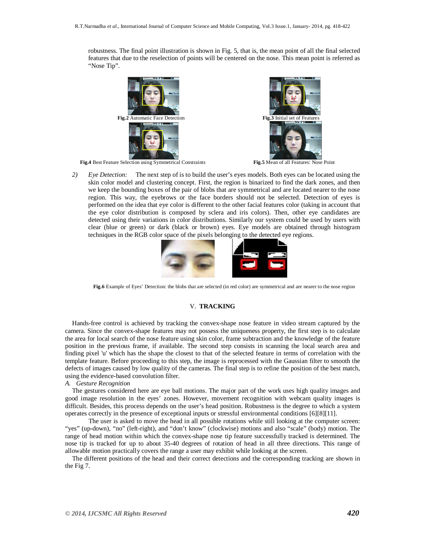robustness. The final point illustration is shown in Fig. 5, that is, the mean point of all the final selected features that due to the reselection of points will be centered on the nose. This mean point is referred as "Nose Tip".



*2) Eye Detection:* The next step of is to build the user's eyes models. Both eyes can be located using the skin color model and clustering concept. First, the region is binarized to find the dark zones, and then we keep the bounding boxes of the pair of blobs that are symmetrical and are located nearer to the nose region. This way, the eyebrows or the face borders should not be selected. Detection of eyes is performed on the idea that eye color is different to the other facial features color (taking in account that the eye color distribution is composed by sclera and iris colors). Then, other eye candidates are detected using their variations in color distributions. Similarly our system could be used by users with clear (blue or green) or dark (black or brown) eyes. Eye models are obtained through histogram techniques in the RGB color space of the pixels belonging to the detected eye regions.



**Fig.6** Example of Eyes' Detection: the blobs that are selected (in red color) are symmetrical and are nearer to the nose region

## V. **TRACKING**

Hands-free control is achieved by tracking the convex-shape nose feature in video stream captured by the camera. Since the convex-shape features may not possess the uniqueness property, the first step is to calculate the area for local search of the nose feature using skin color, frame subtraction and the knowledge of the feature position in the previous frame, if available. The second step consists in scanning the local search area and finding pixel 'u' which has the shape the closest to that of the selected feature in terms of correlation with the template feature. Before proceeding to this step, the image is reprocessed with the Gaussian filter to smooth the defects of images caused by low quality of the cameras. The final step is to refine the position of the best match, using the evidence-based convolution filter.

*A. Gesture Recognition*

The gestures considered here are eye ball motions. The major part of the work uses high quality images and good image resolution in the eyes' zones. However, movement recognition with webcam quality images is difficult. Besides, this process depends on the user's head position. Robustness is the degree to which a system operates correctly in the presence of exceptional inputs or stressful environmental conditions [6][8][11].

The user is asked to move the head in all possible rotations while still looking at the computer screen: "yes" (up-down), "no" (left-right), and "don't know" (clockwise) motions and also "scale" (body) motion. The range of head motion within which the convex-shape nose tip feature successfully tracked is determined. The nose tip is tracked for up to about 35-40 degrees of rotation of head in all three directions. This range of allowable motion practically covers the range a user may exhibit while looking at the screen.

The different positions of the head and their correct detections and the corresponding tracking are shown in the Fig 7.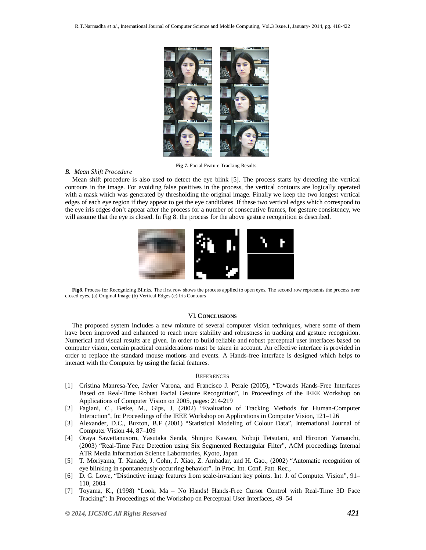

**Fig 7.** Facial Feature Tracking Results

#### *B. Mean Shift Procedure*

Mean shift procedure is also used to detect the eye blink [5]. The process starts by detecting the vertical contours in the image. For avoiding false positives in the process, the vertical contours are logically operated with a mask which was generated by thresholding the original image. Finally we keep the two longest vertical edges of each eye region if they appear to get the eye candidates. If these two vertical edges which correspond to the eye iris edges don't appear after the process for a number of consecutive frames, for gesture consistency, we will assume that the eye is closed. In Fig 8. the process for the above gesture recognition is described.



**Fig8**. Process for Recognizing Blinks. The first row shows the process applied to open eyes. The second row represents the process over closed eyes. (a) Original Image (b) Vertical Edges (c) Iris Contours

#### VI. **CONCLUSIONS**

The proposed system includes a new mixture of several computer vision techniques, where some of them have been improved and enhanced to reach more stability and robustness in tracking and gesture recognition. Numerical and visual results are given. In order to build reliable and robust perceptual user interfaces based on computer vision, certain practical considerations must be taken in account. An effective interface is provided in order to replace the standard mouse motions and events. A Hands-free interface is designed which helps to interact with the Computer by using the facial features.

#### **REFERENCES**

- [1] Cristina Manresa-Yee, Javier Varona, and Francisco J. Perale (2005), "Towards Hands-Free Interfaces Based on Real-Time Robust Facial Gesture Recognition", In Proceedings of the IEEE Workshop on Applications of Computer Vision on 2005, pages: 214-219
- [2] Fagiani, C., Betke, M., Gips, J, (2002) "Evaluation of Tracking Methods for Human-Computer Interaction", In: Proceedings of the IEEE Workshop on Applications in Computer Vision, 121–126
- [3] Alexander, D.C., Buxton, B.F (2001) "Statistical Modeling of Colour Data", International Journal of Computer Vision 44, 87–109
- [4] Oraya Sawettanusorn, Yasutaka Senda, Shinjiro Kawato, Nobuji Tetsutani, and Hironori Yamauchi, (2003) "Real-Time Face Detection using Six Segmented Rectangular Filter", ACM proceedings Internal ATR Media Information Science Laboratories, Kyoto, Japan
- [5] T. Moriyama, T. Kanade, J. Cohn, J. Xiao, Z. Ambadar, and H. Gao., (2002) "Automatic recognition of eye blinking in spontaneously occurring behavior". In Proc. Int. Conf. Patt. Rec.,
- [6] D. G. Lowe, "Distinctive image features from scale-invariant key points. Int. J. of Computer Vision", 91– 110, 2004
- [7] Toyama, K., (1998) "Look, Ma No Hands! Hands-Free Cursor Control with Real-Time 3D Face Tracking": In Proceedings of the Workshop on Perceptual User Interfaces, 49–54